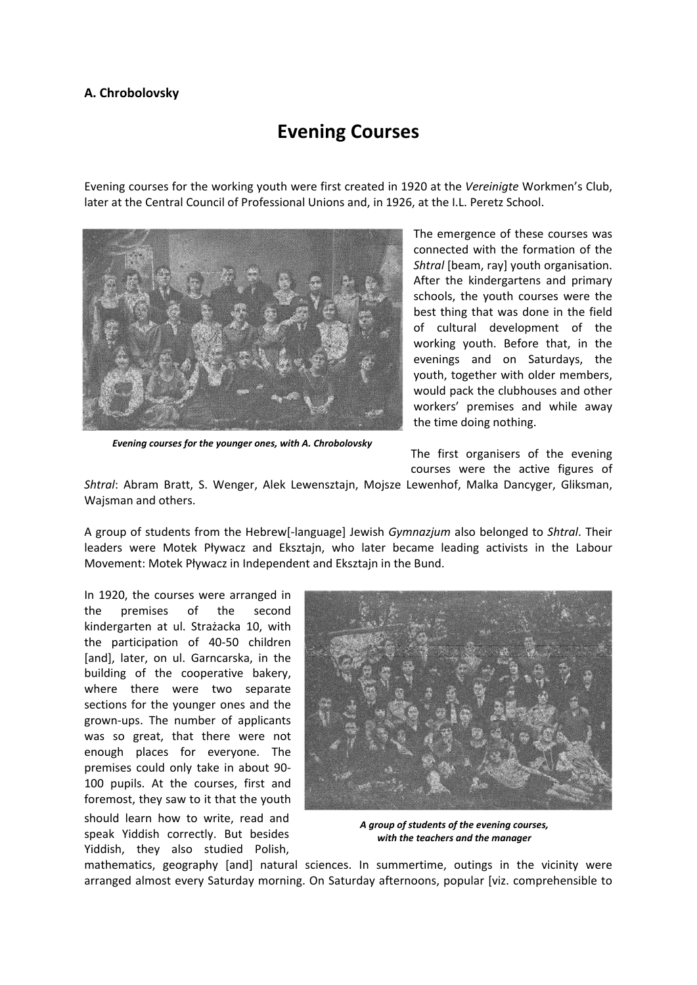## **A. Chrobolovsky**

## **Evening Courses**

Evening courses for the working youth were first created in 1920 at the *Vereinigte* Workmen's Club, later at the Central Council of Professional Unions and, in 1926, at the I.L. Peretz School.



*Evening courses for the younger ones, with A. Chrobolovsky*

The emergence of these courses was connected with the formation of the *Shtral* [beam, ray] youth organisation. After the kindergartens and primary schools, the youth courses were the best thing that was done in the field of cultural development of the working youth. Before that, in the evenings and on Saturdays, the youth, together with older members, would pack the clubhouses and other workers' premises and while away the time doing nothing.

The first organisers of the evening courses were the active figures of

*Shtral*: Abram Bratt, S. Wenger, Alek Lewensztajn, Mojsze Lewenhof, Malka Dancyger, Gliksman, Wajsman and others.

A group of students from the Hebrew[‐language] Jewish *Gymnazjum* also belonged to *Shtral*. Their leaders were Motek Pływacz and Eksztajn, who later became leading activists in the Labour Movement: Motek Pływacz in Independent and Eksztajn in the Bund.

In 1920, the courses were arranged in the premises of the second kindergarten at ul. Strażacka 10, with the participation of 40‐50 children [and], later, on ul. Garncarska, in the building of the cooperative bakery, where there were two separate sections for the younger ones and the grown‐ups. The number of applicants was so great, that there were not enough places for everyone. The premises could only take in about 90‐ 100 pupils. At the courses, first and foremost, they saw to it that the youth should learn how to write, read and speak Yiddish correctly. But besides Yiddish, they also studied Polish,



*A group of students of the evening courses, with the teachers and the manager*

mathematics, geography [and] natural sciences. In summertime, outings in the vicinity were arranged almost every Saturday morning. On Saturday afternoons, popular [viz. comprehensible to